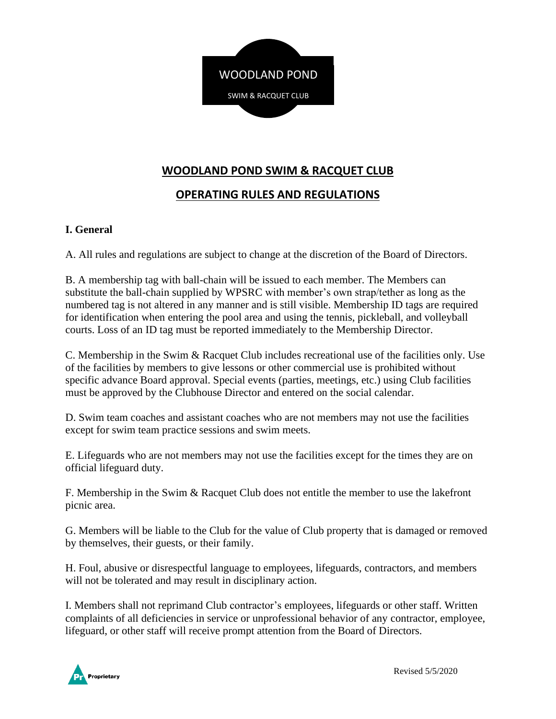

# **WOODLAND POND SWIM & RACQUET CLUB**

## **OPERATING RULES AND REGULATIONS**

### **I. General**

A. All rules and regulations are subject to change at the discretion of the Board of Directors.

B. A membership tag with ball-chain will be issued to each member. The Members can substitute the ball-chain supplied by WPSRC with member's own strap/tether as long as the numbered tag is not altered in any manner and is still visible. Membership ID tags are required for identification when entering the pool area and using the tennis, pickleball, and volleyball courts. Loss of an ID tag must be reported immediately to the Membership Director.

C. Membership in the Swim & Racquet Club includes recreational use of the facilities only. Use of the facilities by members to give lessons or other commercial use is prohibited without specific advance Board approval. Special events (parties, meetings, etc.) using Club facilities must be approved by the Clubhouse Director and entered on the social calendar.

D. Swim team coaches and assistant coaches who are not members may not use the facilities except for swim team practice sessions and swim meets.

E. Lifeguards who are not members may not use the facilities except for the times they are on official lifeguard duty.

F. Membership in the Swim & Racquet Club does not entitle the member to use the lakefront picnic area.

G. Members will be liable to the Club for the value of Club property that is damaged or removed by themselves, their guests, or their family.

H. Foul, abusive or disrespectful language to employees, lifeguards, contractors, and members will not be tolerated and may result in disciplinary action.

I. Members shall not reprimand Club contractor's employees, lifeguards or other staff. Written complaints of all deficiencies in service or unprofessional behavior of any contractor, employee, lifeguard, or other staff will receive prompt attention from the Board of Directors.

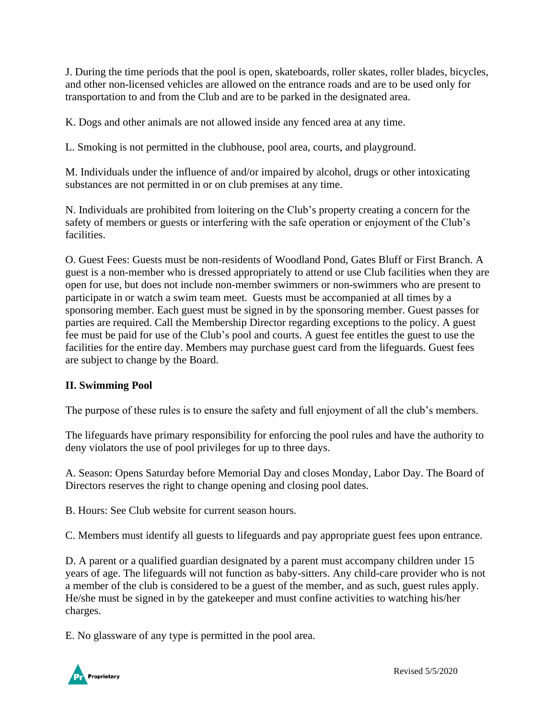J. During the time periods that the pool is open, skateboards, roller skates, roller blades, bicycles, and other non-licensed vehicles are allowed on the entrance roads and are to be used only for transportation to and from the Club and are to be parked in the designated area.

K. Dogs and other animals are not allowed inside any fenced area at any time.

L. Smoking is not permitted in the clubhouse, pool area, courts, and playground.

M. Individuals under the influence of and/or impaired by alcohol, drugs or other intoxicating substances are not permitted in or on club premises at any time.

N. Individuals are prohibited from loitering on the Club's property creating a concern for the safety of members or guests or interfering with the safe operation or enjoyment of the Club's facilities.

O. Guest Fees: Guests must be non-residents of Woodland Pond, Gates Bluff or First Branch. A guest is a non-member who is dressed appropriately to attend or use Club facilities when they are open for use, but does not include non-member swimmers or non-swimmers who are present to participate in or watch a swim team meet. Guests must be accompanied at all times by a sponsoring member. Each guest must be signed in by the sponsoring member. Guest passes for parties are required. Call the Membership Director regarding exceptions to the policy. A guest fee must be paid for use of the Club's pool and courts. A guest fee entitles the guest to use the facilities for the entire day. Members may purchase guest card from the lifeguards. Guest fees are subject to change by the Board.

### **II. Swimming Pool**

The purpose of these rules is to ensure the safety and full enjoyment of all the club's members.

The lifeguards have primary responsibility for enforcing the pool rules and have the authority to deny violators the use of pool privileges for up to three days.

A. Season: Opens Saturday before Memorial Day and closes Monday, Labor Day. The Board of Directors reserves the right to change opening and closing pool dates.

B. Hours: See Club website for current season hours.

C. Members must identify all guests to lifeguards and pay appropriate guest fees upon entrance.

D. A parent or a qualified guardian designated by a parent must accompany children under 15 years of age. The lifeguards will not function as baby-sitters. Any child-care provider who is not a member of the club is considered to be a guest of the member, and as such, guest rules apply. He/she must be signed in by the gatekeeper and must confine activities to watching his/her charges.

E. No glassware of any type is permitted in the pool area.

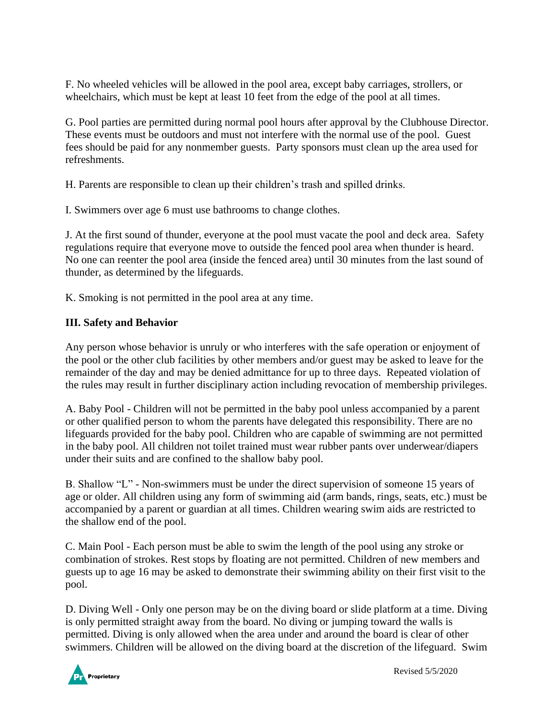F. No wheeled vehicles will be allowed in the pool area, except baby carriages, strollers, or wheelchairs, which must be kept at least 10 feet from the edge of the pool at all times.

G. Pool parties are permitted during normal pool hours after approval by the Clubhouse Director. These events must be outdoors and must not interfere with the normal use of the pool. Guest fees should be paid for any nonmember guests. Party sponsors must clean up the area used for refreshments.

H. Parents are responsible to clean up their children's trash and spilled drinks.

I. Swimmers over age 6 must use bathrooms to change clothes.

J. At the first sound of thunder, everyone at the pool must vacate the pool and deck area. Safety regulations require that everyone move to outside the fenced pool area when thunder is heard. No one can reenter the pool area (inside the fenced area) until 30 minutes from the last sound of thunder, as determined by the lifeguards.

K. Smoking is not permitted in the pool area at any time.

### **III. Safety and Behavior**

Any person whose behavior is unruly or who interferes with the safe operation or enjoyment of the pool or the other club facilities by other members and/or guest may be asked to leave for the remainder of the day and may be denied admittance for up to three days. Repeated violation of the rules may result in further disciplinary action including revocation of membership privileges.

A. Baby Pool - Children will not be permitted in the baby pool unless accompanied by a parent or other qualified person to whom the parents have delegated this responsibility. There are no lifeguards provided for the baby pool. Children who are capable of swimming are not permitted in the baby pool. All children not toilet trained must wear rubber pants over underwear/diapers under their suits and are confined to the shallow baby pool.

B. Shallow "L" - Non-swimmers must be under the direct supervision of someone 15 years of age or older. All children using any form of swimming aid (arm bands, rings, seats, etc.) must be accompanied by a parent or guardian at all times. Children wearing swim aids are restricted to the shallow end of the pool.

C. Main Pool - Each person must be able to swim the length of the pool using any stroke or combination of strokes. Rest stops by floating are not permitted. Children of new members and guests up to age 16 may be asked to demonstrate their swimming ability on their first visit to the pool.

D. Diving Well - Only one person may be on the diving board or slide platform at a time. Diving is only permitted straight away from the board. No diving or jumping toward the walls is permitted. Diving is only allowed when the area under and around the board is clear of other swimmers. Children will be allowed on the diving board at the discretion of the lifeguard. Swim